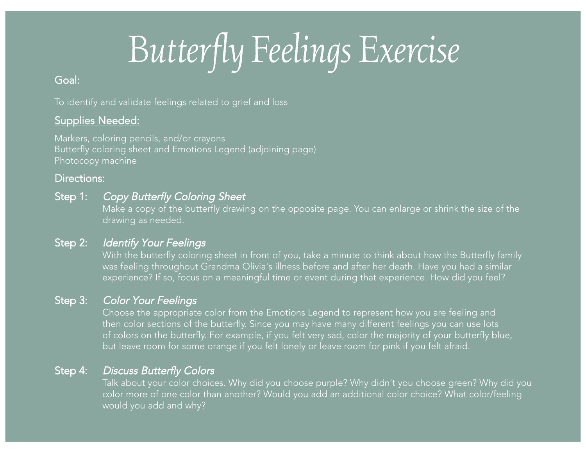# Butterfly Feelings Exercise

## G o al:

To identify and validate feelings related to grief and loss

## <u>Supplies Needed:</u>

Markers, coloring pencils, and/or crayons Butterfly coloring sheet and Emotions Legend (adjoining page) Photocopy machine

## Dire ctio n s:

#### Step 1: p 1: Copy Butte rfly Colo ring She et

Make a copy of the butterfly drawing on the opposite page. You can enlarge or shrink the size of the drawing as needed.

#### Step 2: *Ide* ntify Your Feelings

With the butterfly coloring sheet in front of you, take a minute to think about how the Butterfly family was feeling throughout Grandma Olivia's illness before and after her death. Have you had a similar experience? If so, focus on a meaningful time or event during that experience. How did you feel?

#### Step 3: p 3: Color Your Feelings

Choose the appropriate color from the Emotions Legend to represent how you are feeling and then color sections of the butterfly. Since you may have many different feelings you can use lots of colors on the butterfly. For example, if you felt very sad, color the majority of your butterfly blue, but leave room for some orange if you felt lonely or leave room for pink if you felt afraid.

#### Step 4: p 4: Discuss Butterfly Colors

Talk about your color choices. Why did you choose purple? Why didn't you choose green? Why did you color more of one color than another? Would you add an additional color choice? What color/feeling would you add and why?